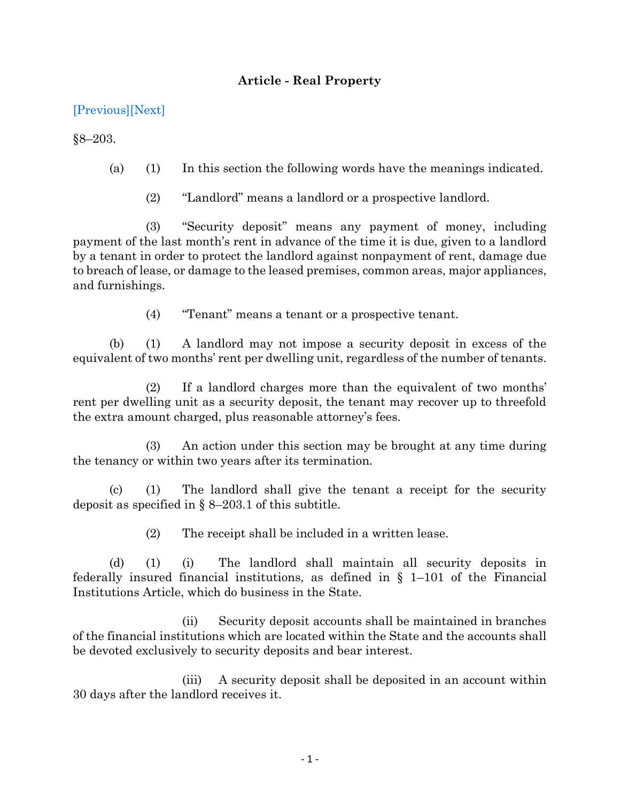## **Article - Real Property**

## [\[Previous\]](http://mgaleg.maryland.gov/2021RS/Statute_Web/grp/8-202.pdf)[\[Next\]](http://mgaleg.maryland.gov/2021RS/Statute_Web/grp/8-203.1.pdf)

§8–203.

- (a) (1) In this section the following words have the meanings indicated.
	- (2) "Landlord" means a landlord or a prospective landlord.

(3) "Security deposit" means any payment of money, including payment of the last month's rent in advance of the time it is due, given to a landlord by a tenant in order to protect the landlord against nonpayment of rent, damage due to breach of lease, or damage to the leased premises, common areas, major appliances, and furnishings.

(4) "Tenant" means a tenant or a prospective tenant.

(b) (1) A landlord may not impose a security deposit in excess of the equivalent of two months' rent per dwelling unit, regardless of the number of tenants.

(2) If a landlord charges more than the equivalent of two months' rent per dwelling unit as a security deposit, the tenant may recover up to threefold the extra amount charged, plus reasonable attorney's fees.

(3) An action under this section may be brought at any time during the tenancy or within two years after its termination.

(c) (1) The landlord shall give the tenant a receipt for the security deposit as specified in  $\S$  8–203.1 of this subtitle.

(2) The receipt shall be included in a written lease.

(d) (1) (i) The landlord shall maintain all security deposits in federally insured financial institutions, as defined in  $\S$  1–101 of the Financial Institutions Article, which do business in the State.

(ii) Security deposit accounts shall be maintained in branches of the financial institutions which are located within the State and the accounts shall be devoted exclusively to security deposits and bear interest.

(iii) A security deposit shall be deposited in an account within 30 days after the landlord receives it.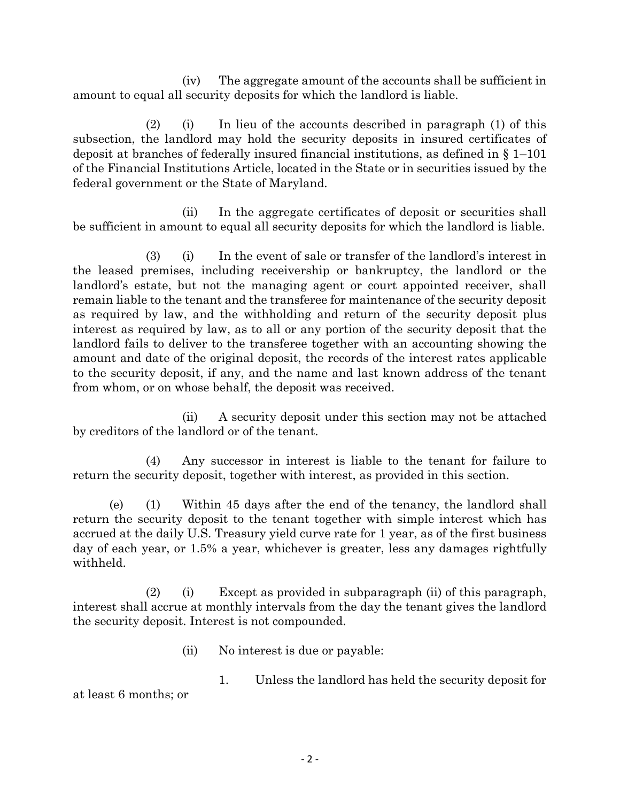(iv) The aggregate amount of the accounts shall be sufficient in amount to equal all security deposits for which the landlord is liable.

(2) (i) In lieu of the accounts described in paragraph (1) of this subsection, the landlord may hold the security deposits in insured certificates of deposit at branches of federally insured financial institutions, as defined in § 1–101 of the Financial Institutions Article, located in the State or in securities issued by the federal government or the State of Maryland.

(ii) In the aggregate certificates of deposit or securities shall be sufficient in amount to equal all security deposits for which the landlord is liable.

(3) (i) In the event of sale or transfer of the landlord's interest in the leased premises, including receivership or bankruptcy, the landlord or the landlord's estate, but not the managing agent or court appointed receiver, shall remain liable to the tenant and the transferee for maintenance of the security deposit as required by law, and the withholding and return of the security deposit plus interest as required by law, as to all or any portion of the security deposit that the landlord fails to deliver to the transferee together with an accounting showing the amount and date of the original deposit, the records of the interest rates applicable to the security deposit, if any, and the name and last known address of the tenant from whom, or on whose behalf, the deposit was received.

(ii) A security deposit under this section may not be attached by creditors of the landlord or of the tenant.

(4) Any successor in interest is liable to the tenant for failure to return the security deposit, together with interest, as provided in this section.

(e) (1) Within 45 days after the end of the tenancy, the landlord shall return the security deposit to the tenant together with simple interest which has accrued at the daily U.S. Treasury yield curve rate for 1 year, as of the first business day of each year, or 1.5% a year, whichever is greater, less any damages rightfully withheld.

(2) (i) Except as provided in subparagraph (ii) of this paragraph, interest shall accrue at monthly intervals from the day the tenant gives the landlord the security deposit. Interest is not compounded.

- (ii) No interest is due or payable:
	- 1. Unless the landlord has held the security deposit for

at least 6 months; or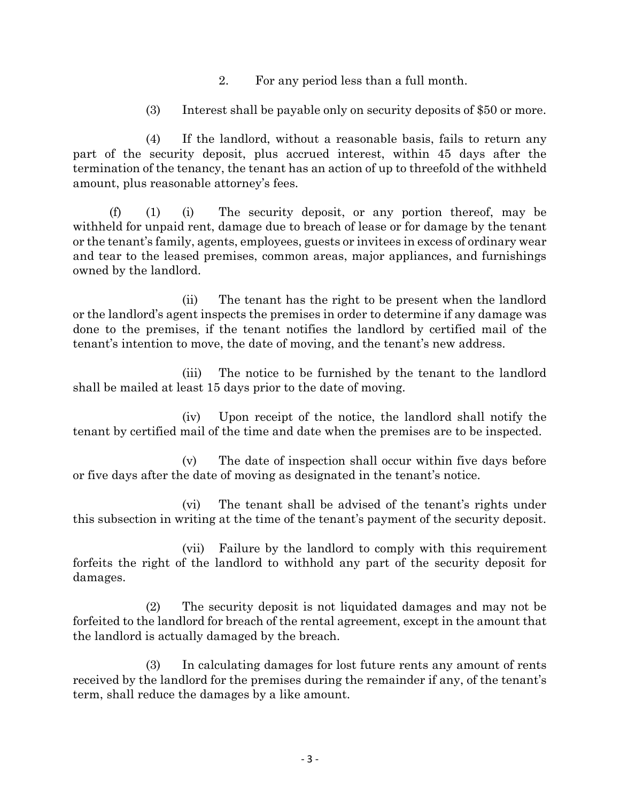- 2. For any period less than a full month.
- (3) Interest shall be payable only on security deposits of \$50 or more.

(4) If the landlord, without a reasonable basis, fails to return any part of the security deposit, plus accrued interest, within 45 days after the termination of the tenancy, the tenant has an action of up to threefold of the withheld amount, plus reasonable attorney's fees.

(f) (1) (i) The security deposit, or any portion thereof, may be withheld for unpaid rent, damage due to breach of lease or for damage by the tenant or the tenant's family, agents, employees, guests or invitees in excess of ordinary wear and tear to the leased premises, common areas, major appliances, and furnishings owned by the landlord.

(ii) The tenant has the right to be present when the landlord or the landlord's agent inspects the premises in order to determine if any damage was done to the premises, if the tenant notifies the landlord by certified mail of the tenant's intention to move, the date of moving, and the tenant's new address.

(iii) The notice to be furnished by the tenant to the landlord shall be mailed at least 15 days prior to the date of moving.

(iv) Upon receipt of the notice, the landlord shall notify the tenant by certified mail of the time and date when the premises are to be inspected.

(v) The date of inspection shall occur within five days before or five days after the date of moving as designated in the tenant's notice.

(vi) The tenant shall be advised of the tenant's rights under this subsection in writing at the time of the tenant's payment of the security deposit.

(vii) Failure by the landlord to comply with this requirement forfeits the right of the landlord to withhold any part of the security deposit for damages.

(2) The security deposit is not liquidated damages and may not be forfeited to the landlord for breach of the rental agreement, except in the amount that the landlord is actually damaged by the breach.

(3) In calculating damages for lost future rents any amount of rents received by the landlord for the premises during the remainder if any, of the tenant's term, shall reduce the damages by a like amount.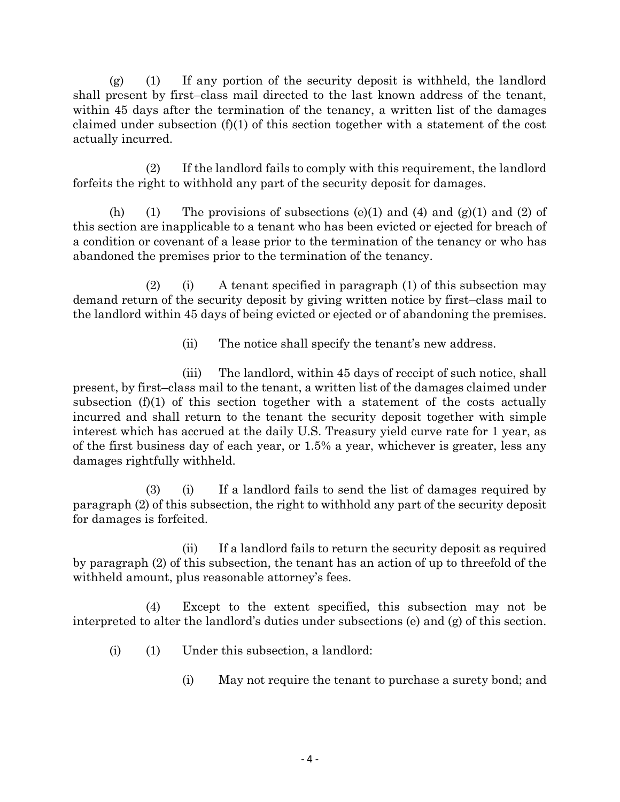(g) (1) If any portion of the security deposit is withheld, the landlord shall present by first–class mail directed to the last known address of the tenant, within 45 days after the termination of the tenancy, a written list of the damages claimed under subsection (f)(1) of this section together with a statement of the cost actually incurred.

(2) If the landlord fails to comply with this requirement, the landlord forfeits the right to withhold any part of the security deposit for damages.

(h) (1) The provisions of subsections (e)(1) and (4) and (g)(1) and (2) of this section are inapplicable to a tenant who has been evicted or ejected for breach of a condition or covenant of a lease prior to the termination of the tenancy or who has abandoned the premises prior to the termination of the tenancy.

(2) (i) A tenant specified in paragraph (1) of this subsection may demand return of the security deposit by giving written notice by first–class mail to the landlord within 45 days of being evicted or ejected or of abandoning the premises.

(ii) The notice shall specify the tenant's new address.

(iii) The landlord, within 45 days of receipt of such notice, shall present, by first–class mail to the tenant, a written list of the damages claimed under subsection  $(f)(1)$  of this section together with a statement of the costs actually incurred and shall return to the tenant the security deposit together with simple interest which has accrued at the daily U.S. Treasury yield curve rate for 1 year, as of the first business day of each year, or 1.5% a year, whichever is greater, less any damages rightfully withheld.

(3) (i) If a landlord fails to send the list of damages required by paragraph (2) of this subsection, the right to withhold any part of the security deposit for damages is forfeited.

(ii) If a landlord fails to return the security deposit as required by paragraph (2) of this subsection, the tenant has an action of up to threefold of the withheld amount, plus reasonable attorney's fees.

(4) Except to the extent specified, this subsection may not be interpreted to alter the landlord's duties under subsections (e) and (g) of this section.

- (i) (1) Under this subsection, a landlord:
	- (i) May not require the tenant to purchase a surety bond; and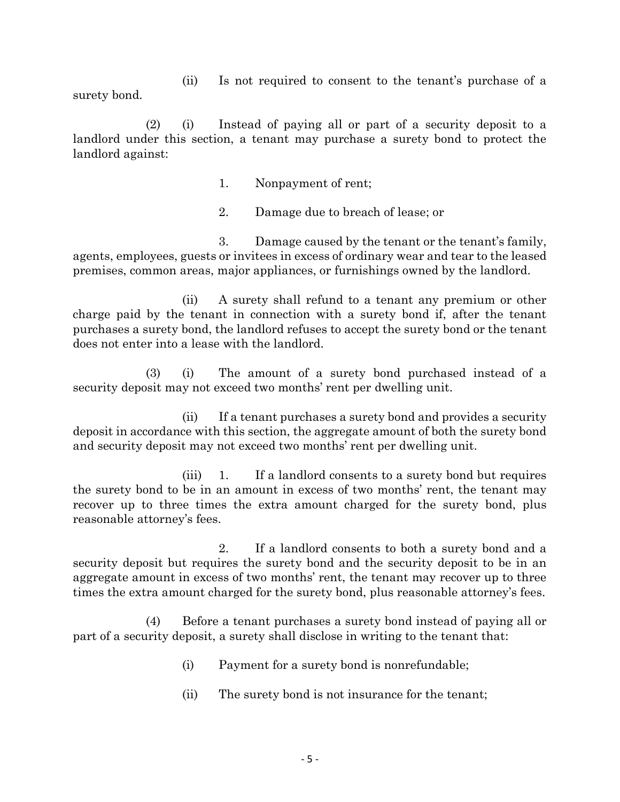(ii) Is not required to consent to the tenant's purchase of a surety bond.

(2) (i) Instead of paying all or part of a security deposit to a landlord under this section, a tenant may purchase a surety bond to protect the landlord against:

1. Nonpayment of rent;

2. Damage due to breach of lease; or

3. Damage caused by the tenant or the tenant's family, agents, employees, guests or invitees in excess of ordinary wear and tear to the leased premises, common areas, major appliances, or furnishings owned by the landlord.

(ii) A surety shall refund to a tenant any premium or other charge paid by the tenant in connection with a surety bond if, after the tenant purchases a surety bond, the landlord refuses to accept the surety bond or the tenant does not enter into a lease with the landlord.

(3) (i) The amount of a surety bond purchased instead of a security deposit may not exceed two months' rent per dwelling unit.

(ii) If a tenant purchases a surety bond and provides a security deposit in accordance with this section, the aggregate amount of both the surety bond and security deposit may not exceed two months' rent per dwelling unit.

(iii) 1. If a landlord consents to a surety bond but requires the surety bond to be in an amount in excess of two months' rent, the tenant may recover up to three times the extra amount charged for the surety bond, plus reasonable attorney's fees.

2. If a landlord consents to both a surety bond and a security deposit but requires the surety bond and the security deposit to be in an aggregate amount in excess of two months' rent, the tenant may recover up to three times the extra amount charged for the surety bond, plus reasonable attorney's fees.

(4) Before a tenant purchases a surety bond instead of paying all or part of a security deposit, a surety shall disclose in writing to the tenant that:

- (i) Payment for a surety bond is nonrefundable;
- (ii) The surety bond is not insurance for the tenant;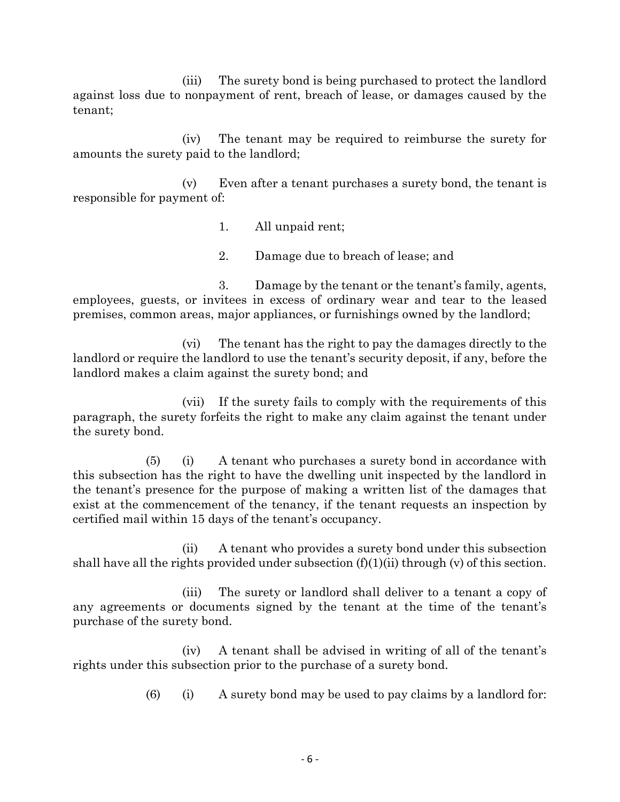(iii) The surety bond is being purchased to protect the landlord against loss due to nonpayment of rent, breach of lease, or damages caused by the tenant;

(iv) The tenant may be required to reimburse the surety for amounts the surety paid to the landlord;

(v) Even after a tenant purchases a surety bond, the tenant is responsible for payment of:

1. All unpaid rent;

2. Damage due to breach of lease; and

3. Damage by the tenant or the tenant's family, agents, employees, guests, or invitees in excess of ordinary wear and tear to the leased premises, common areas, major appliances, or furnishings owned by the landlord;

(vi) The tenant has the right to pay the damages directly to the landlord or require the landlord to use the tenant's security deposit, if any, before the landlord makes a claim against the surety bond; and

(vii) If the surety fails to comply with the requirements of this paragraph, the surety forfeits the right to make any claim against the tenant under the surety bond.

(5) (i) A tenant who purchases a surety bond in accordance with this subsection has the right to have the dwelling unit inspected by the landlord in the tenant's presence for the purpose of making a written list of the damages that exist at the commencement of the tenancy, if the tenant requests an inspection by certified mail within 15 days of the tenant's occupancy.

(ii) A tenant who provides a surety bond under this subsection shall have all the rights provided under subsection  $(f)(1)(ii)$  through  $(v)$  of this section.

(iii) The surety or landlord shall deliver to a tenant a copy of any agreements or documents signed by the tenant at the time of the tenant's purchase of the surety bond.

(iv) A tenant shall be advised in writing of all of the tenant's rights under this subsection prior to the purchase of a surety bond.

 $(6)$  (i) A surety bond may be used to pay claims by a landlord for: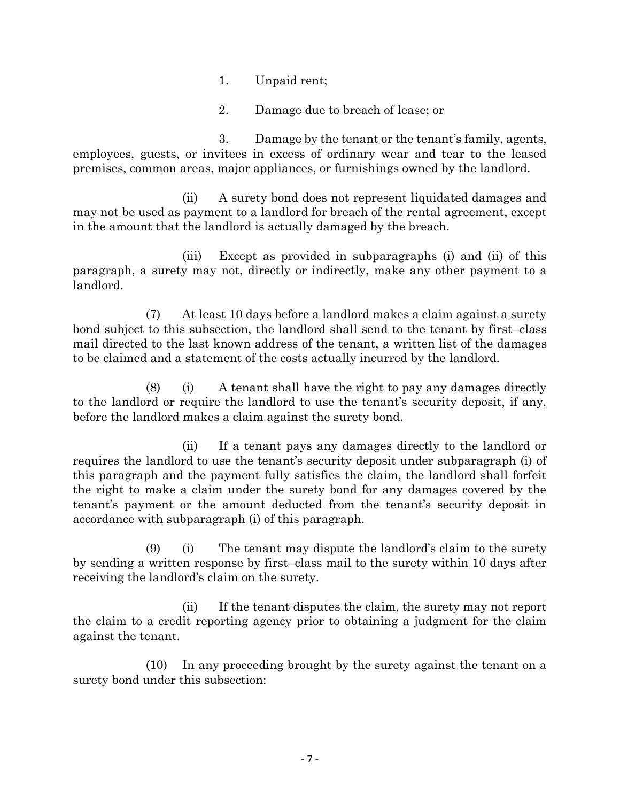- 1. Unpaid rent;
- 2. Damage due to breach of lease; or

3. Damage by the tenant or the tenant's family, agents, employees, guests, or invitees in excess of ordinary wear and tear to the leased premises, common areas, major appliances, or furnishings owned by the landlord.

(ii) A surety bond does not represent liquidated damages and may not be used as payment to a landlord for breach of the rental agreement, except in the amount that the landlord is actually damaged by the breach.

(iii) Except as provided in subparagraphs (i) and (ii) of this paragraph, a surety may not, directly or indirectly, make any other payment to a landlord.

(7) At least 10 days before a landlord makes a claim against a surety bond subject to this subsection, the landlord shall send to the tenant by first–class mail directed to the last known address of the tenant, a written list of the damages to be claimed and a statement of the costs actually incurred by the landlord.

(8) (i) A tenant shall have the right to pay any damages directly to the landlord or require the landlord to use the tenant's security deposit, if any, before the landlord makes a claim against the surety bond.

(ii) If a tenant pays any damages directly to the landlord or requires the landlord to use the tenant's security deposit under subparagraph (i) of this paragraph and the payment fully satisfies the claim, the landlord shall forfeit the right to make a claim under the surety bond for any damages covered by the tenant's payment or the amount deducted from the tenant's security deposit in accordance with subparagraph (i) of this paragraph.

(9) (i) The tenant may dispute the landlord's claim to the surety by sending a written response by first–class mail to the surety within 10 days after receiving the landlord's claim on the surety.

(ii) If the tenant disputes the claim, the surety may not report the claim to a credit reporting agency prior to obtaining a judgment for the claim against the tenant.

(10) In any proceeding brought by the surety against the tenant on a surety bond under this subsection: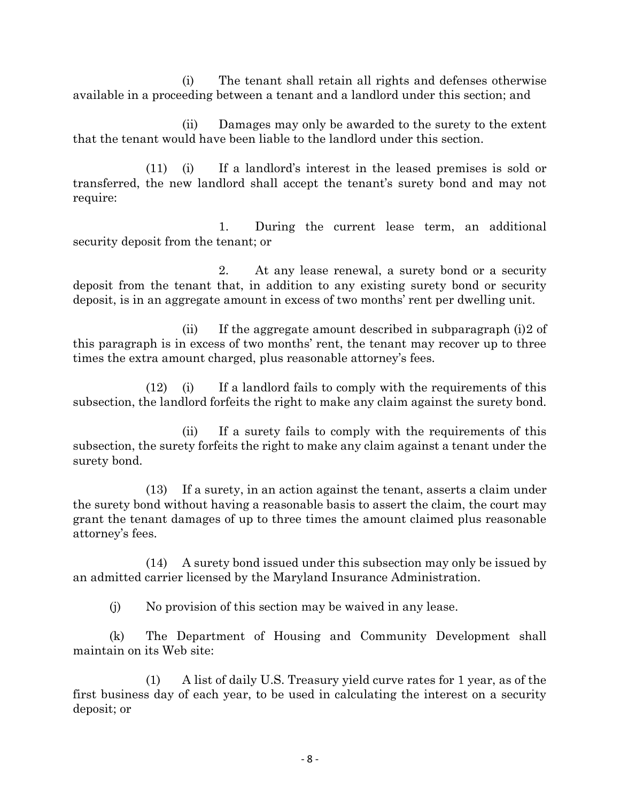(i) The tenant shall retain all rights and defenses otherwise available in a proceeding between a tenant and a landlord under this section; and

(ii) Damages may only be awarded to the surety to the extent that the tenant would have been liable to the landlord under this section.

(11) (i) If a landlord's interest in the leased premises is sold or transferred, the new landlord shall accept the tenant's surety bond and may not require:

1. During the current lease term, an additional security deposit from the tenant; or

2. At any lease renewal, a surety bond or a security deposit from the tenant that, in addition to any existing surety bond or security deposit, is in an aggregate amount in excess of two months' rent per dwelling unit.

(ii) If the aggregate amount described in subparagraph (i)2 of this paragraph is in excess of two months' rent, the tenant may recover up to three times the extra amount charged, plus reasonable attorney's fees.

(12) (i) If a landlord fails to comply with the requirements of this subsection, the landlord forfeits the right to make any claim against the surety bond.

(ii) If a surety fails to comply with the requirements of this subsection, the surety forfeits the right to make any claim against a tenant under the surety bond.

(13) If a surety, in an action against the tenant, asserts a claim under the surety bond without having a reasonable basis to assert the claim, the court may grant the tenant damages of up to three times the amount claimed plus reasonable attorney's fees.

(14) A surety bond issued under this subsection may only be issued by an admitted carrier licensed by the Maryland Insurance Administration.

(j) No provision of this section may be waived in any lease.

(k) The Department of Housing and Community Development shall maintain on its Web site:

(1) A list of daily U.S. Treasury yield curve rates for 1 year, as of the first business day of each year, to be used in calculating the interest on a security deposit; or